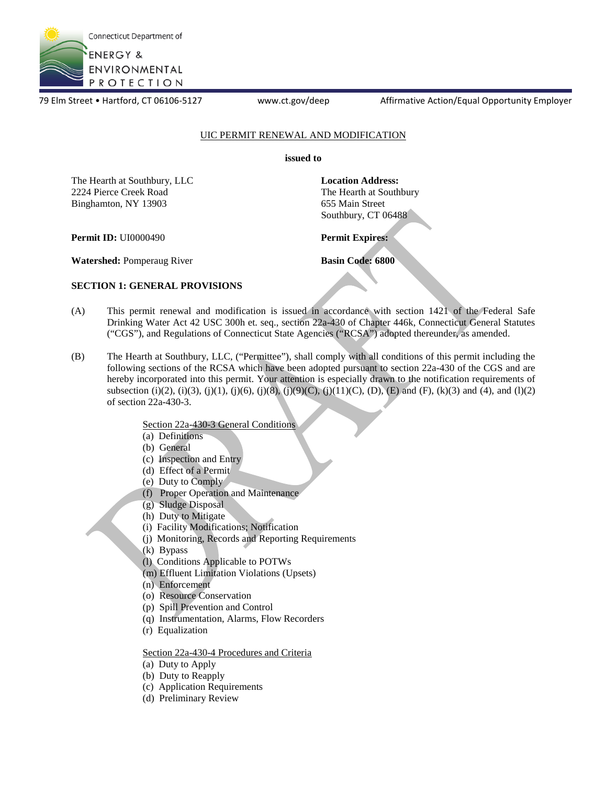

79 Elm Street • Hartford, CT 06106-5127 www.ct.gov/deep Affirmative Action/Equal Opportunity Employer

### UIC PERMIT RENEWAL AND MODIFICATION

**issued to** 

The Hearth at Southbury, LLC 2224 Pierce Creek Road Binghamton, NY 13903 The Hearth at Southbury, LLC **Location Address:**<br>
2224 Pierce Creek Road **Binghamton, NY 13903** 655 Main Street

The Hearth at Southbury 655 Main Street Southbury, CT 06488

**Permit ID:** UI0000490 **Permit Expires:** 

**Watershed: Pomperaug River <b>Basin Code: 6800 Basin Code: 6800** 

### **SECTION 1: GENERAL PROVISIONS**

- (A) This permit renewal and modification is issued in accordance with section 1421 of the Federal Safe Drinking Water Act 42 USC 300h et. seq., section 22a-430 of Chapter 446k, Connecticut General Statutes ("CGS"), and Regulations of Connecticut State Agencies ("RCSA") adopted thereunder, as amended.
- (B) The Hearth at Southbury, LLC, ("Permittee"), shall comply with all conditions of this permit including the following sections of the RCSA which have been adopted pursuant to section 22a-430 of the CGS and are hereby incorporated into this permit. Your attention is especially drawn to the notification requirements of subsection (i)(2), (i)(3), (j)(1), (j)(6), (j)(8), (j)(9)(C), (j)(11)(C), (D), (E) and (F), (k)(3) and (4), and (l)(2) of section 22a-430-3.

Section 22a-430-3 General Conditions

- (a) Definitions
- (b) General
- (c) Inspection and Entry
- (d) Effect of a Permit
- (e) Duty to Comply
- (f) Proper Operation and Maintenance
- (g) Sludge Disposal
- (h) Duty to Mitigate
- (i) Facility Modifications; Notification
- (j) Monitoring, Records and Reporting Requirements
- (k) Bypass
- (l) Conditions Applicable to POTWs
- (m) Effluent Limitation Violations (Upsets)
- (n) Enforcement
- (o) Resource Conservation
- (p) Spill Prevention and Control
- (q) Instrumentation, Alarms, Flow Recorders
- (r) Equalization

Section 22a-430-4 Procedures and Criteria

- (a) Duty to Apply
- (b) Duty to Reapply
- (c) Application Requirements
- (d) Preliminary Review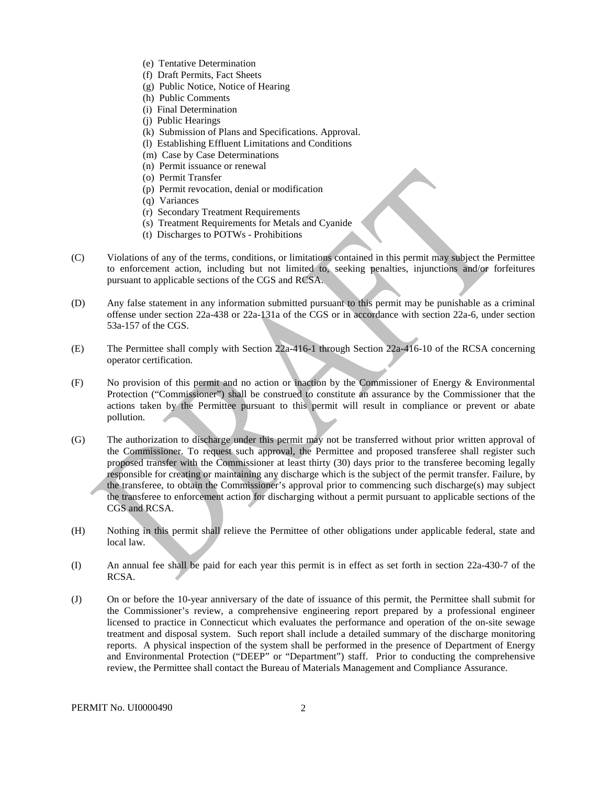- <span id="page-1-0"></span>(e) Tentative Determination
- (f) Draft Permits, Fact Sheets
- (g) Public Notice, Notice of Hearing
- (h) Public Comments
- (i) Final Determination
- (j) Public Hearings
- (k) Submission of Plans and Specifications. Approval.
- (l) Establishing Effluent Limitations and Conditions
- (m) Case by Case Determinations
- (n) Permit issuance or renewal
- (o) Permit Transfer
- (p) Permit revocation, denial or modification
- (q) Variances
- (r) Secondary Treatment Requirements
- (s) Treatment Requirements for Metals and Cyanide
- (t) Discharges to POTWs Prohibitions
- (C) Violations of any of the terms, conditions, or limitations contained in this permit may subject the Permittee to enforcement action, including but not limited to, seeking penalties, injunctions and/or forfeitures pursuant to applicable sections of the CGS and RCSA.
- (D) Any false statement in any information submitted pursuant to this permit may be punishable as a criminal offense under section 22a-438 or 22a-131a of the CGS or in accordance with section 22a-6, under section 53a-157 of the CGS.
- (E) The Permittee shall comply with Section 22a-416-1 through Section 22a-416-10 of the RCSA concerning operator certification.
- $(F)$  No provision of this permit and no action or inaction by the Commissioner of Energy  $\&$  Environmental Protection ("Commissioner") shall be construed to constitute an assurance by the Commissioner that the actions taken by the Permittee pursuant to this permit will result in compliance or prevent or abate pollution.
- (G) The authorization to discharge under this permit may not be transferred without prior written approval of the Commissioner. To request such approval, the Permittee and proposed transferee shall register such proposed transfer with the Commissioner at least thirty (30) days prior to the transferee becoming legally responsible for creating or maintaining any discharge which is the subject of the permit transfer. Failure, by the transferee, to obtain the Commissioner's approval prior to commencing such discharge(s) may subject the transferee to enforcement action for discharging without a permit pursuant to applicable sections of the CGS and RCSA.
- (H) Nothing in this permit shall relieve the Permittee of other obligations under applicable federal, state and local law.
- (I) An annual fee shall be paid for each year this permit is in effect as set forth in section 22a-430-7 of the RCSA.
- (J) On or before the 10-year anniversary of the date of issuance of this permit, the Permittee shall submit for the Commissioner's review, a comprehensive engineering report prepared by a professional engineer licensed to practice in Connecticut which evaluates the performance and operation of the on-site sewage treatment and disposal system. Such report shall include a detailed summary of the discharge monitoring reports. A physical inspection of the system shall be performed in the presence of Department of Energy and Environmental Protection ("DEEP" or "Department") staff. Prior to conducting the comprehensive review, the Permittee shall contact the Bureau of Materials Management and Compliance Assurance.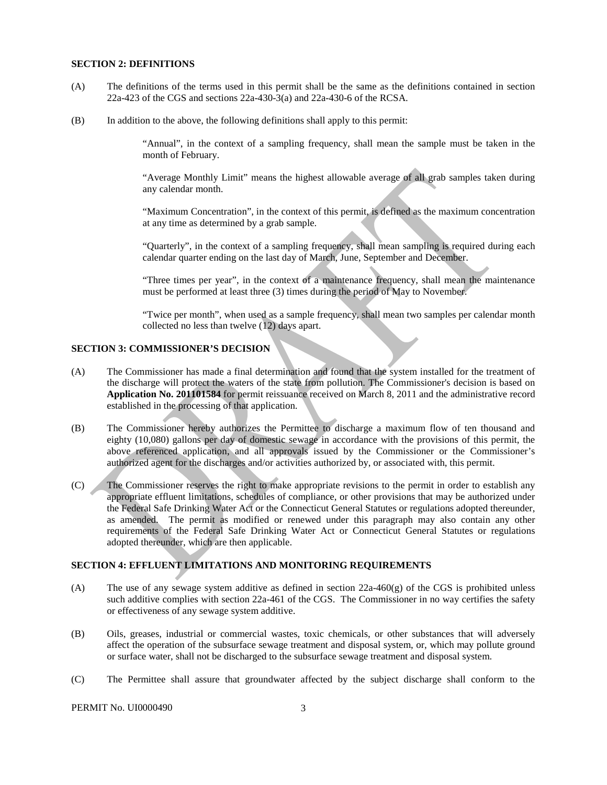### **SECTION 2: DEFINITIONS**

- (A) The definitions of the terms used in this permit shall be the same as the definitions contained in section 22a-423 of the CGS and sections 22a-430-3(a) and 22a-430-6 of the RCSA.
- (B) In addition to the above, the following definitions shall apply to this permit:

 "Annual", in the context of a sampling frequency, shall mean the sample must be taken in the month of February.

"Average Monthly Limit" means the highest allowable average of all grab samples taken during any calendar month.

"Maximum Concentration", in the context of this permit, is defined as the maximum concentration at any time as determined by a grab sample.

"Quarterly", in the context of a sampling frequency, shall mean sampling is required during each calendar quarter ending on the last day of March, June, September and December.

"Three times per year", in the context of a maintenance frequency, shall mean the maintenance must be performed at least three (3) times during the period of May to November.

"Twice per month", when used as a sample frequency, shall mean two samples per calendar month collected no less than twelve (12) days apart.

## **SECTION 3: COMMISSIONER'S DECISION**

- (A) The Commissioner has made a final determination and found that the system installed for the treatment of the discharge will protect the waters of the state from pollution. The Commissioner's decision is based on **Application No. 201101584** for permit reissuance received on March 8, 2011 and the administrative record established in the processing of that application.
- (B) The Commissioner hereby authorizes the Permittee to discharge a maximum flow of ten thousand and eighty (10,080) gallons per day of domestic sewage in accordance with the provisions of this permit, the above referenced application, and all approvals issued by the Commissioner or the Commissioner's authorized agent for the discharges and/or activities authorized by, or associated with, this permit.
- (C) The Commissioner reserves the right to make appropriate revisions to the permit in order to establish any appropriate effluent limitations, schedules of compliance, or other provisions that may be authorized under the Federal Safe Drinking Water Act or the Connecticut General Statutes or regulations adopted thereunder, as amended. The permit as modified or renewed under this paragraph may also contain any other requirements of the Federal Safe Drinking Water Act or Connecticut General Statutes or regulations adopted thereunder, which are then applicable.

#### **SECTION 4: EFFLUENT LIMITATIONS AND MONITORING REQUIREMENTS**

- (A) The use of any sewage system additive as defined in section  $22a-460(g)$  of the CGS is prohibited unless or effectiveness of any sewage system additive. such additive complies with section 22a-461 of the CGS. The Commissioner in no way certifies the safety
- affect the operation of the subsurface sewage treatment and disposal system, or, which may pollute ground (B) Oils, greases, industrial or commercial wastes, toxic chemicals, or other substances that will adversely or surface water, shall not be discharged to the subsurface sewage treatment and disposal system.
- (C) The Permittee shall assure that groundwater affected by the subject discharge shall conform to the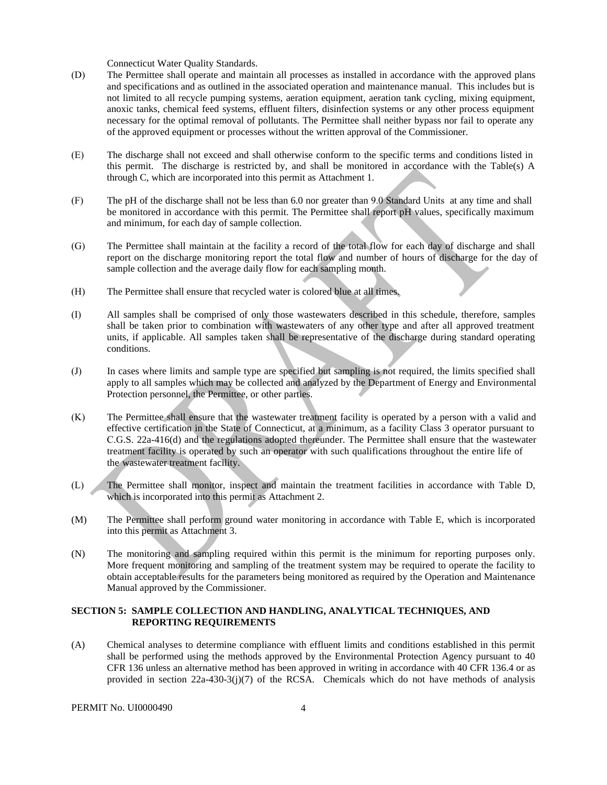Connecticut Water Quality Standards.

- anoxic tanks, chemical feed systems, effluent filters, disinfection systems or any other process equipment of the approved equipment or processes without the written approval of the Commissioner. (D) The Permittee shall operate and maintain all processes as installed in accordance with the approved plans and specifications and as outlined in the associated operation and maintenance manual. This includes but is not limited to all recycle pumping systems, aeration equipment, aeration tank cycling, mixing equipment, necessary for the optimal removal of pollutants. The Permittee shall neither bypass nor fail to operate any
- (E) The discharge shall not exceed and shall otherwise conform to the specific terms and conditions listed in this permit. The discharge is restricted by, and shall be monitored in accordance with the Table(s) A through C, which are incorporated into this permit as Attachment 1.
- (F) The pH of the discharge shall not be less than 6.0 nor greater than 9.0 Standard Units at any time and shall be monitored in accordance with this permit. The Permittee shall report pH values, specifically maximum and minimum, for each day of sample collection.
- (G) The Permittee shall maintain at the facility a record of the total flow for each day of discharge and shall report on the discharge monitoring report the total flow and number of hours of discharge for the day of sample collection and the average daily flow for each sampling month.
- (H) The Permittee shall ensure that recycled water is colored blue at all times.
- (I) All samples shall be comprised of only those wastewaters described in this schedule, therefore, samples shall be taken prior to combination with wastewaters of any other type and after all approved treatment units, if applicable. All samples taken shall be representative of the discharge during standard operating conditions.
- apply to all samples which may be collected and analyzed by the Department of Energy and Environmental (J) In cases where limits and sample type are specified but sampling is not required, the limits specified shall Protection personnel, the Permittee, or other parties.
- (K) The Permittee shall ensure that the wastewater treatment facility is operated by a person with a valid and effective certification in the State of Connecticut, at a minimum, as a facility Class 3 operator pursuant to C.G.S. 22a-416(d) and the regulations adopted thereunder. The Permittee shall ensure that the wastewater treatment facility is operated by such an operator with such qualifications throughout the entire life of the wastewater treatment facility.
- (L) The Permittee shall monitor, inspect and maintain the treatment facilities in accordance with Table D, which is incorporated into this permit as Attachment 2.
- (M) The Permittee shall perform ground water monitoring in accordance with Table E, which is incorporated into this permit as Attachment 3.
- (N) The monitoring and sampling required within this permit is the minimum for reporting purposes only. More frequent monitoring and sampling of the treatment system may be required to operate the facility to obtain acceptable results for the parameters being monitored as required by the Operation and Maintenance Manual approved by the Commissioner.

### **SECTION 5: SAMPLE COLLECTION AND HANDLING, ANALYTICAL TECHNIQUES, AND REPORTING REQUIREMENTS**

(A) Chemical analyses to determine compliance with effluent limits and conditions established in this permit shall be performed using the methods approved by the Environmental Protection Agency pursuant to 40 CFR 136 unless an alternative method has been approved in writing in accordance with 40 CFR 136.4 or as provided in section 22a-430-3(j)(7) of the RCSA. Chemicals which do not have methods of analysis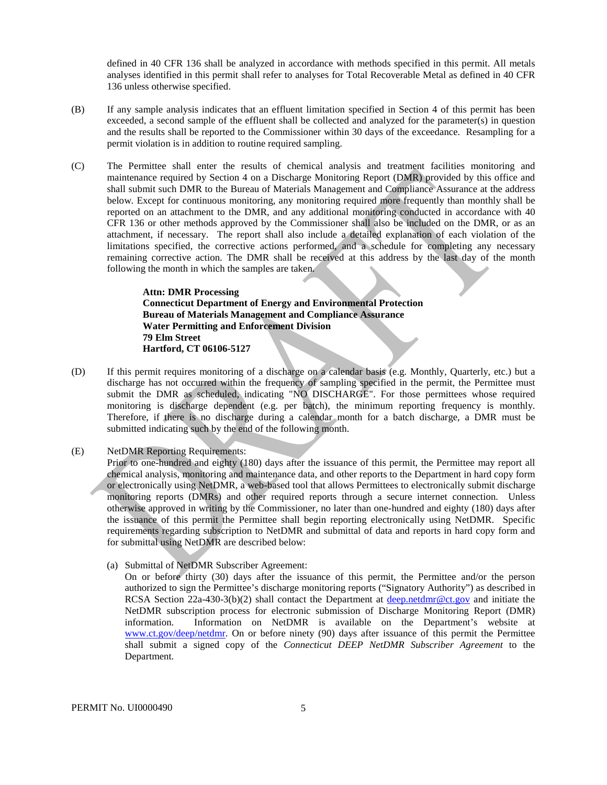defined in 40 CFR 136 shall be analyzed in accordance with methods specified in this permit. All metals analyses identified in this permit shall refer to analyses for Total Recoverable Metal as defined in 40 CFR 136 unless otherwise specified.

- (B) If any sample analysis indicates that an effluent limitation specified in Section 4 of this permit has been exceeded, a second sample of the effluent shall be collected and analyzed for the parameter(s) in question and the results shall be reported to the Commissioner within 30 days of the exceedance. Resampling for a permit violation is in addition to routine required sampling.
- (C) The Permittee shall enter the results of chemical analysis and treatment facilities monitoring and maintenance required by Section 4 on a Discharge Monitoring Report (DMR) provided by this office and shall submit such DMR to the Bureau of Materials Management and Compliance Assurance at the address below. Except for continuous monitoring, any monitoring required more frequently than monthly shall be reported on an attachment to the DMR, and any additional monitoring conducted in accordance with 40 CFR 136 or other methods approved by the Commissioner shall also be included on the DMR, or as an attachment, if necessary. The report shall also include a detailed explanation of each violation of the limitations specified, the corrective actions performed, and a schedule for completing any necessary remaining corrective action. The DMR shall be received at this address by the last day of the month following the month in which the samples are taken.

**Attn: DMR Processing Connecticut Department of Energy and Environmental Protection Bureau of Materials Management and Compliance Assurance Water Permitting and Enforcement Division 79 Elm Street Hartford, CT 06106-5127** 

- (D) If this permit requires monitoring of a discharge on a calendar basis (e.g. Monthly, Quarterly, etc.) but a discharge has not occurred within the frequency of sampling specified in the permit, the Permittee must submit the DMR as scheduled, indicating "NO DISCHARGE". For those permittees whose required monitoring is discharge dependent (e.g. per batch), the minimum reporting frequency is monthly. Therefore, if there is no discharge during a calendar month for a batch discharge, a DMR must be submitted indicating such by the end of the following month.
- (E) NetDMR Reporting Requirements:

Prior to one-hundred and eighty (180) days after the issuance of this permit, the Permittee may report all chemical analysis, monitoring and maintenance data, and other reports to the Department in hard copy form or electronically using NetDMR, a web-based tool that allows Permittees to electronically submit discharge monitoring reports (DMRs) and other required reports through a secure internet connection. Unless otherwise approved in writing by the Commissioner, no later than one-hundred and eighty (180) days after the issuance of this permit the Permittee shall begin reporting electronically using NetDMR. Specific requirements regarding subscription to NetDMR and submittal of data and reports in hard copy form and for submittal using NetDMR are described below:

(a) Submittal of NetDMR Subscriber Agreement:

On or before thirty (30) days after the issuance of this permit, the Permittee and/or the person authorized to sign the Permittee's discharge monitoring reports ("Signatory Authority") as described in RCSA Section 22a-430-3(b)(2) shall contact the Department at [deep.netdmr@ct.gov](mailto:deep.netdmr@ct.gov) and initiate the NetDMR subscription process for electronic submission of Discharge Monitoring Report (DMR) information. Information on NetDMR is available on the Department's website at [www.ct.gov/deep/netdmr.](https://www.ct.gov/deep/netdmr) On or before ninety (90) days after issuance of this permit the Permittee shall submit a signed copy of the *Connecticut DEEP NetDMR Subscriber Agreement* to the Department.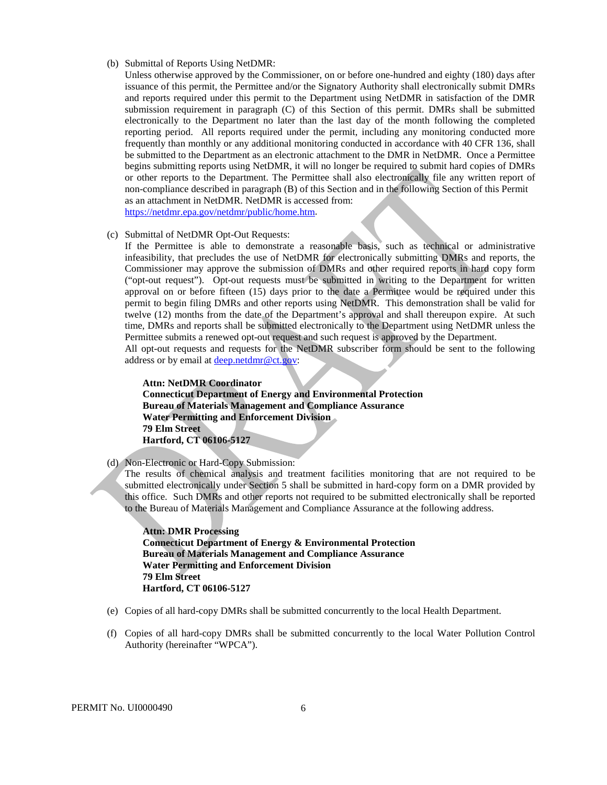### (b) Submittal of Reports Using NetDMR:

Unless otherwise approved by the Commissioner, on or before one-hundred and eighty (180) days after issuance of this permit, the Permittee and/or the Signatory Authority shall electronically submit DMRs and reports required under this permit to the Department using NetDMR in satisfaction of the DMR submission requirement in paragraph (C) of this Section of this permit. DMRs shall be submitted electronically to the Department no later than the last day of the month following the completed reporting period. All reports required under the permit, including any monitoring conducted more frequently than monthly or any additional monitoring conducted in accordance with 40 CFR 136, shall be submitted to the Department as an electronic attachment to the DMR in NetDMR. Once a Permittee begins submitting reports using NetDMR, it will no longer be required to submit hard copies of DMRs or other reports to the Department. The Permittee shall also electronically file any written report of non-compliance described in paragraph (B) of this Section and in the following Section of this Permit as an attachment in NetDMR. NetDMR is accessed from: [https://netdmr.epa.gov/netdmr/public/home.htm.](https://netdmr.epa.gov/netdmr/public/home.htm)

#### (c) Submittal of NetDMR Opt-Out Requests:

If the Permittee is able to demonstrate a reasonable basis, such as technical or administrative infeasibility, that precludes the use of NetDMR for electronically submitting DMRs and reports, the Commissioner may approve the submission of DMRs and other required reports in hard copy form ("opt-out request"). Opt-out requests must be submitted in writing to the Department for written approval on or before fifteen (15) days prior to the date a Permittee would be required under this permit to begin filing DMRs and other reports using NetDMR. This demonstration shall be valid for twelve (12) months from the date of the Department's approval and shall thereupon expire. At such time, DMRs and reports shall be submitted electronically to the Department using NetDMR unless the Permittee submits a renewed opt-out request and such request is approved by the Department.

All opt-out requests and requests for the NetDMR subscriber form should be sent to the following address or by email at [deep.netdmr@ct.gov:](mailto:deep.netdmr@ct.gov)

**Attn: NetDMR Coordinator Connecticut Department of Energy and Environmental Protection Bureau of Materials Management and Compliance Assurance Water Permitting and Enforcement Division 79 Elm Street Hartford, CT 06106-5127** 

(d) Non-Electronic or Hard-Copy Submission:

The results of chemical analysis and treatment facilities monitoring that are not required to be submitted electronically under Section 5 shall be submitted in hard-copy form on a DMR provided by this office. Such DMRs and other reports not required to be submitted electronically shall be reported to the Bureau of Materials Management and Compliance Assurance at the following address.

**Attn: DMR Processing Connecticut Department of Energy & Environmental Protection Bureau of Materials Management and Compliance Assurance Water Permitting and Enforcement Division 79 Elm Street Hartford, CT 06106-5127** 

- (e) Copies of all hard-copy DMRs shall be submitted concurrently to the local Health Department.
- (f) Copies of all hard-copy DMRs shall be submitted concurrently to the local Water Pollution Control Authority (hereinafter "WPCA").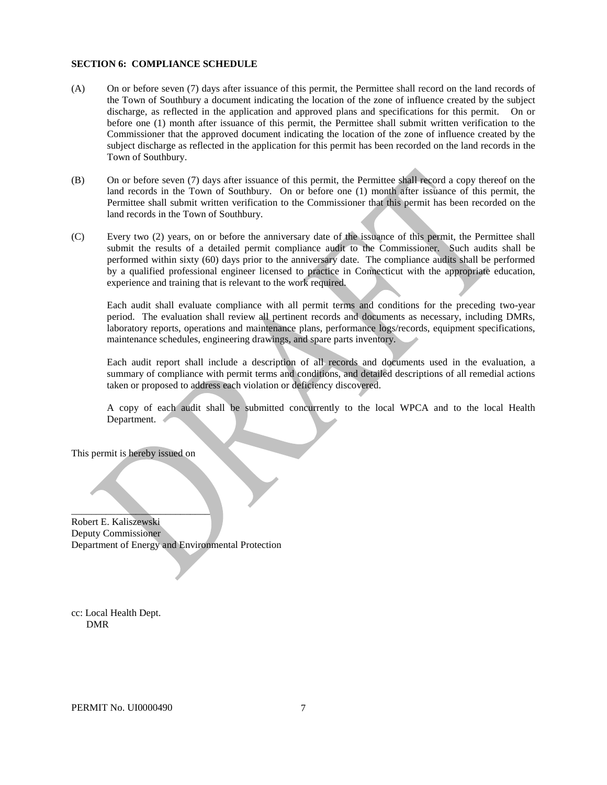#### **SECTION 6: COMPLIANCE SCHEDULE**

- discharge, as reflected in the application and approved plans and specifications for this permit. On or before one (1) month after issuance of this permit, the Permittee shall submit written verification to the Town of Southbury. (A) On or before seven (7) days after issuance of this permit, the Permittee shall record on the land records of the Town of Southbury a document indicating the location of the zone of influence created by the subject Commissioner that the approved document indicating the location of the zone of influence created by the subject discharge as reflected in the application for this permit has been recorded on the land records in the
- (B) On or before seven (7) days after issuance of this permit, the Permittee shall record a copy thereof on the land records in the Town of Southbury. On or before one (1) month after issuance of this permit, the Permittee shall submit written verification to the Commissioner that this permit has been recorded on the land records in the Town of Southbury.
- (C) Every two (2) years, on or before the anniversary date of the issuance of this permit, the Permittee shall submit the results of a detailed permit compliance audit to the Commissioner. Such audits shall be performed within sixty (60) days prior to the anniversary date. The compliance audits shall be performed by a qualified professional engineer licensed to practice in Connecticut with the appropriate education, experience and training that is relevant to the work required.

Each audit shall evaluate compliance with all permit terms and conditions for the preceding two-year period. The evaluation shall review all pertinent records and documents as necessary, including DMRs, laboratory reports, operations and maintenance plans, performance logs/records, equipment specifications, maintenance schedules, engineering drawings, and spare parts inventory.

Each audit report shall include a description of all records and documents used in the evaluation, a summary of compliance with permit terms and conditions, and detailed descriptions of all remedial actions taken or proposed to address each violation or deficiency discovered.

A copy of each audit shall be submitted concurrently to the local WPCA and to the local Health Department.

This permit is hereby issued on

 $\qquad \qquad \qquad \qquad$ 

Robert E. Kaliszewski Deputy Commissioner Department of Energy and Environmental Protection

cc: Local Health Dept. DMR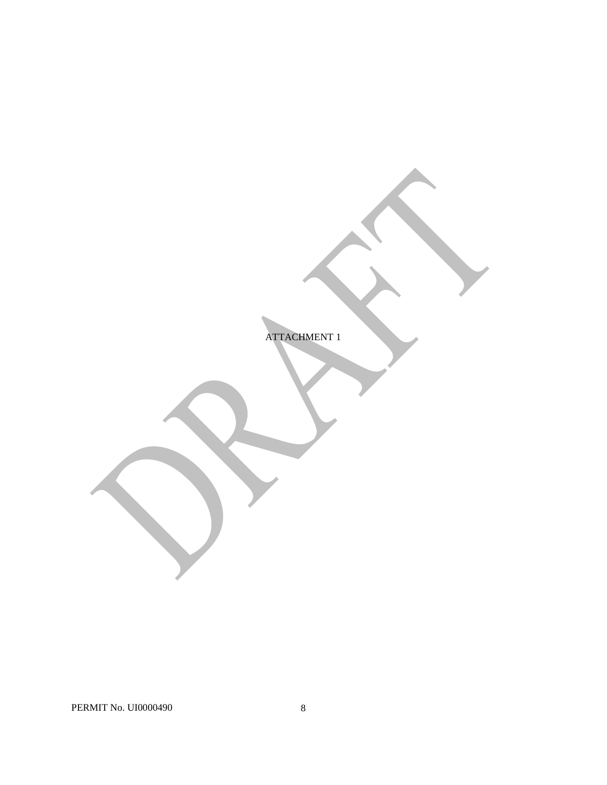ATTACHMENT 1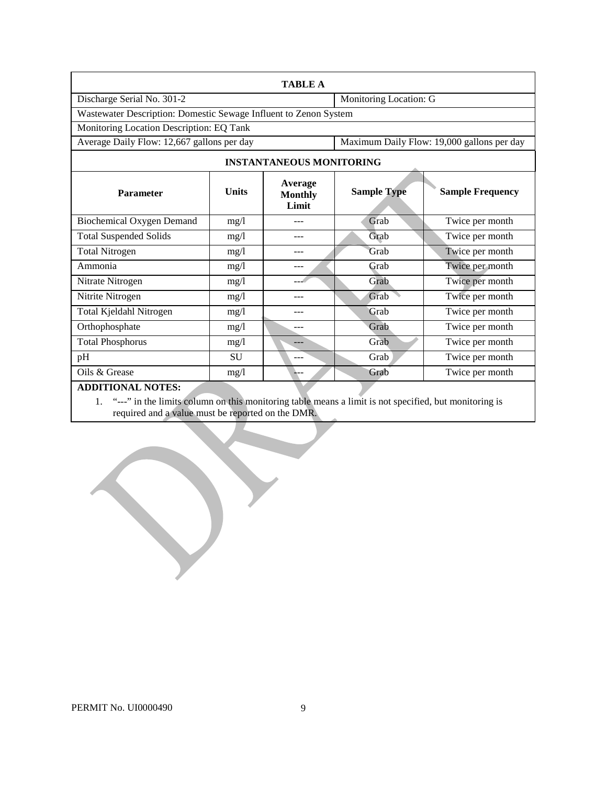| <b>TABLE A</b>                                                   |              |                                    |                        |                                            |  |
|------------------------------------------------------------------|--------------|------------------------------------|------------------------|--------------------------------------------|--|
| Discharge Serial No. 301-2                                       |              |                                    | Monitoring Location: G |                                            |  |
| Wastewater Description: Domestic Sewage Influent to Zenon System |              |                                    |                        |                                            |  |
| Monitoring Location Description: EQ Tank                         |              |                                    |                        |                                            |  |
| Average Daily Flow: 12,667 gallons per day                       |              |                                    |                        | Maximum Daily Flow: 19,000 gallons per day |  |
|                                                                  |              | <b>INSTANTANEOUS MONITORING</b>    |                        |                                            |  |
| Parameter                                                        | <b>Units</b> | Average<br><b>Monthly</b><br>Limit | <b>Sample Type</b>     | <b>Sample Frequency</b>                    |  |
| <b>Biochemical Oxygen Demand</b>                                 | mg/1         |                                    | Grab                   | Twice per month                            |  |
| <b>Total Suspended Solids</b>                                    | mg/1         | ---                                | Grab                   | Twice per month                            |  |
| Total Nitrogen                                                   | mg/1         | ---                                | Grab                   | Twice per month                            |  |
| Ammonia                                                          | mg/1         | ---                                | Grab                   | Twice per month                            |  |
| Nitrate Nitrogen                                                 | mg/l         |                                    | Grab                   | Twice per month                            |  |
| Nitrite Nitrogen                                                 | mg/1         | ---                                | Grab                   | Twice per month                            |  |
| Total Kjeldahl Nitrogen                                          | mg/1         |                                    | Grab                   | Twice per month                            |  |
| Orthophosphate                                                   | mg/1         | ---                                | Grab                   | Twice per month                            |  |
| <b>Total Phosphorus</b>                                          | mg/l         |                                    | Grab                   | Twice per month                            |  |
| pH                                                               | <b>SU</b>    | ---                                | Grab                   | Twice per month                            |  |
| Oils & Grease                                                    | mg/1         | ---                                | Grab                   | Twice per month                            |  |
| <b>ADDITIONAL NOTES:</b>                                         |              |                                    |                        |                                            |  |

1. "---" in the limits column on this monitoring table means a limit is not specified, but monitoring is required and a value must be reported on the DMR.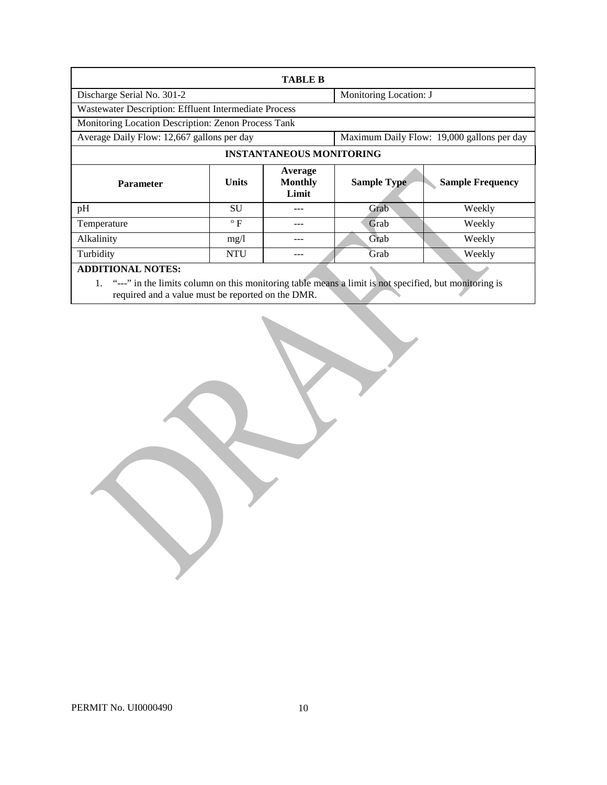| <b>TABLE B</b>                                                                                                                       |                                                                                          |                                    |                    |                         |  |
|--------------------------------------------------------------------------------------------------------------------------------------|------------------------------------------------------------------------------------------|------------------------------------|--------------------|-------------------------|--|
| Monitoring Location: J<br>Discharge Serial No. 301-2                                                                                 |                                                                                          |                                    |                    |                         |  |
| Wastewater Description: Effluent Intermediate Process                                                                                |                                                                                          |                                    |                    |                         |  |
| Monitoring Location Description: Zenon Process Tank                                                                                  |                                                                                          |                                    |                    |                         |  |
|                                                                                                                                      | Average Daily Flow: 12,667 gallons per day<br>Maximum Daily Flow: 19,000 gallons per day |                                    |                    |                         |  |
| <b>INSTANTANEOUS MONITORING</b>                                                                                                      |                                                                                          |                                    |                    |                         |  |
| <b>Parameter</b>                                                                                                                     | <b>Units</b>                                                                             | Average<br><b>Monthly</b><br>Limit | <b>Sample Type</b> | <b>Sample Frequency</b> |  |
| pH                                                                                                                                   | SU                                                                                       |                                    | Grab               | Weekly                  |  |
| Temperature                                                                                                                          | $\rm ^o$ F                                                                               |                                    | Grab               | Weekly                  |  |
| Alkalinity                                                                                                                           | mg/1                                                                                     |                                    | Grab               | Weekly                  |  |
| Turbidity                                                                                                                            | <b>NTU</b>                                                                               |                                    | Grab               | Weekly                  |  |
| <b>ADDITIONAL NOTES:</b><br>1. "---" in the limits column on this monitoring table means a limit is not specified, but monitoring is |                                                                                          |                                    |                    |                         |  |

required and a value must be reported on the DMR.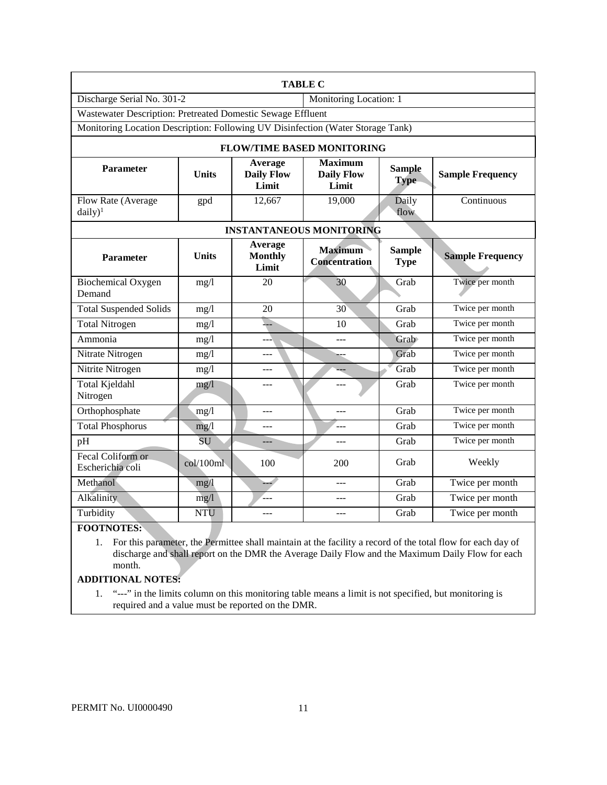| <b>TABLE C</b>                                                                  |              |                                                                                                      |                                        |                              |                         |
|---------------------------------------------------------------------------------|--------------|------------------------------------------------------------------------------------------------------|----------------------------------------|------------------------------|-------------------------|
| Discharge Serial No. 301-2                                                      |              | Monitoring Location: 1                                                                               |                                        |                              |                         |
| Wastewater Description: Pretreated Domestic Sewage Effluent                     |              |                                                                                                      |                                        |                              |                         |
| Monitoring Location Description: Following UV Disinfection (Water Storage Tank) |              |                                                                                                      |                                        |                              |                         |
|                                                                                 |              |                                                                                                      | <b>FLOW/TIME BASED MONITORING</b>      |                              |                         |
| <b>Parameter</b>                                                                | <b>Units</b> | <b>Maximum</b><br>Average<br><b>Daily Flow</b><br><b>Daily Flow</b><br><b>Type</b><br>Limit<br>Limit |                                        | <b>Sample</b>                | <b>Sample Frequency</b> |
| Flow Rate (Average<br>$daily)^1$                                                | gpd          | 12,667                                                                                               | 19,000                                 | Daily<br>flow                | Continuous              |
|                                                                                 |              |                                                                                                      | <b>INSTANTANEOUS MONITORING</b>        |                              |                         |
| <b>Parameter</b>                                                                | <b>Units</b> | Average<br><b>Monthly</b><br>Limit                                                                   | <b>Maximum</b><br><b>Concentration</b> | <b>Sample</b><br><b>Type</b> | <b>Sample Frequency</b> |
| <b>Biochemical Oxygen</b><br>Demand                                             | mg/1         | 20                                                                                                   | 30                                     | Grab                         | Twice per month         |
| <b>Total Suspended Solids</b>                                                   | mg/1         | 20                                                                                                   | 30                                     | Grab                         | Twice per month         |
| <b>Total Nitrogen</b>                                                           | mg/1         | شد                                                                                                   | 10                                     | Grab                         | Twice per month         |
| Ammonia                                                                         | mg/l         | ___                                                                                                  | $---$                                  | Grab                         | Twice per month         |
| Nitrate Nitrogen                                                                | mg/1         |                                                                                                      |                                        | Grab                         | Twice per month         |
| Nitrite Nitrogen                                                                | mg/1         | $---$                                                                                                |                                        | Grab                         | Twice per month         |
| <b>Total Kjeldahl</b><br>Nitrogen                                               | mg/1         |                                                                                                      |                                        | Grab                         | Twice per month         |
| Orthophosphate                                                                  | mg/l         | $---$                                                                                                | $---$                                  | Grab                         | Twice per month         |
| <b>Total Phosphorus</b>                                                         | mg/1         | $ -$                                                                                                 | $-$                                    | Grab                         | Twice per month         |
| pH                                                                              | SU           | $---$                                                                                                | ---                                    | Grab                         | Twice per month         |
| Fecal Coliform or<br>Escherichia coli                                           | col/100ml    | 100                                                                                                  | 200                                    | Grab                         | Weekly                  |
| Methanol                                                                        | mg/1         | $\overline{\phantom{a}}$                                                                             | $---$                                  | Grab                         | Twice per month         |
| Alkalinity                                                                      | mg/1         | '---                                                                                                 | ---                                    | Grab                         | Twice per month         |
| Turbidity                                                                       | <b>NTU</b>   | $---$                                                                                                | ---                                    | Grab                         | Twice per month         |

### **FOOTNOTES:**

 discharge and shall report on the DMR the Average Daily Flow and the Maximum Daily Flow for each month. 1. For this parameter, the Permittee shall maintain at the facility a record of the total flow for each day of

# **ADDITIONAL NOTES:**

1. "---" in the limits column on this monitoring table means a limit is not specified, but monitoring is required and a value must be reported on the DMR.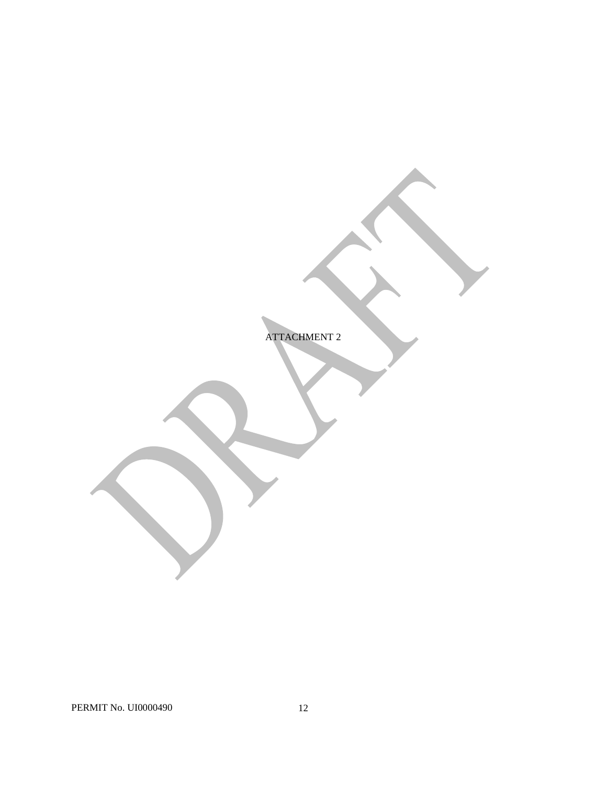ATTACHMENT 2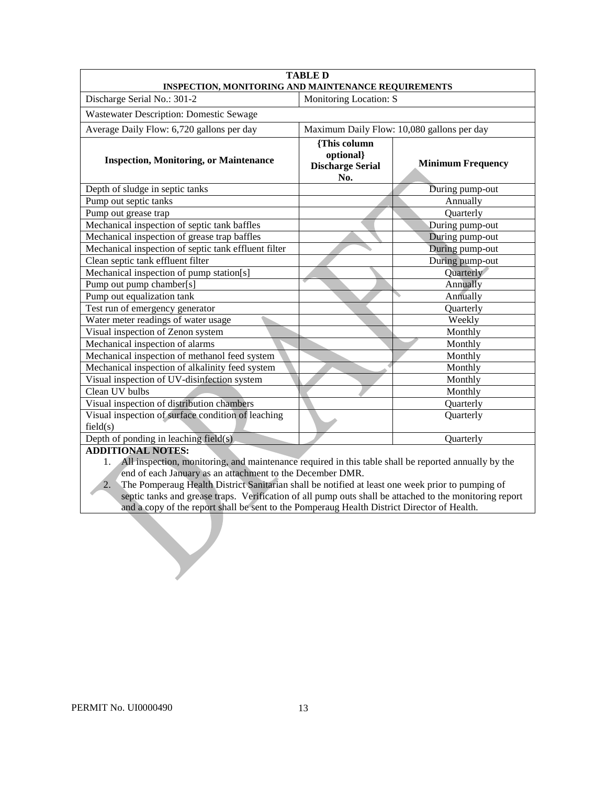| <b>TABLE D</b><br>INSPECTION, MONITORING AND MAINTENANCE REQUIREMENTS                                                                                                                                                                                                                                                                                          |                                                             |                          |  |  |  |
|----------------------------------------------------------------------------------------------------------------------------------------------------------------------------------------------------------------------------------------------------------------------------------------------------------------------------------------------------------------|-------------------------------------------------------------|--------------------------|--|--|--|
| Discharge Serial No.: 301-2                                                                                                                                                                                                                                                                                                                                    |                                                             |                          |  |  |  |
| Monitoring Location: S<br><b>Wastewater Description: Domestic Sewage</b>                                                                                                                                                                                                                                                                                       |                                                             |                          |  |  |  |
| Average Daily Flow: 6,720 gallons per day<br>Maximum Daily Flow: 10,080 gallons per day                                                                                                                                                                                                                                                                        |                                                             |                          |  |  |  |
| <b>Inspection, Monitoring, or Maintenance</b>                                                                                                                                                                                                                                                                                                                  | {This column<br>optional}<br><b>Discharge Serial</b><br>No. | <b>Minimum Frequency</b> |  |  |  |
| Depth of sludge in septic tanks                                                                                                                                                                                                                                                                                                                                |                                                             | During pump-out          |  |  |  |
| Pump out septic tanks                                                                                                                                                                                                                                                                                                                                          |                                                             | Annually                 |  |  |  |
| Pump out grease trap                                                                                                                                                                                                                                                                                                                                           |                                                             | Quarterly                |  |  |  |
| Mechanical inspection of septic tank baffles                                                                                                                                                                                                                                                                                                                   |                                                             | During pump-out          |  |  |  |
| Mechanical inspection of grease trap baffles                                                                                                                                                                                                                                                                                                                   |                                                             | During pump-out          |  |  |  |
| Mechanical inspection of septic tank effluent filter                                                                                                                                                                                                                                                                                                           |                                                             | During pump-out          |  |  |  |
| Clean septic tank effluent filter                                                                                                                                                                                                                                                                                                                              |                                                             | During pump-out          |  |  |  |
| Mechanical inspection of pump station[s]                                                                                                                                                                                                                                                                                                                       |                                                             | Quarterly                |  |  |  |
| Pump out pump chamber[s]                                                                                                                                                                                                                                                                                                                                       |                                                             | Annually                 |  |  |  |
| Pump out equalization tank                                                                                                                                                                                                                                                                                                                                     |                                                             | Annually                 |  |  |  |
| Test run of emergency generator                                                                                                                                                                                                                                                                                                                                |                                                             | Quarterly                |  |  |  |
| Water meter readings of water usage                                                                                                                                                                                                                                                                                                                            |                                                             | Weekly                   |  |  |  |
| Visual inspection of Zenon system                                                                                                                                                                                                                                                                                                                              |                                                             | Monthly                  |  |  |  |
| Mechanical inspection of alarms                                                                                                                                                                                                                                                                                                                                |                                                             | Monthly                  |  |  |  |
| Mechanical inspection of methanol feed system                                                                                                                                                                                                                                                                                                                  |                                                             | Monthly                  |  |  |  |
| Mechanical inspection of alkalinity feed system                                                                                                                                                                                                                                                                                                                |                                                             | Monthly                  |  |  |  |
| Visual inspection of UV-disinfection system                                                                                                                                                                                                                                                                                                                    |                                                             | Monthly                  |  |  |  |
| Clean UV bulbs                                                                                                                                                                                                                                                                                                                                                 |                                                             | Monthly                  |  |  |  |
| Visual inspection of distribution chambers                                                                                                                                                                                                                                                                                                                     |                                                             | Quarterly                |  |  |  |
| Visual inspection of surface condition of leaching<br>Quarterly<br>field(s)                                                                                                                                                                                                                                                                                    |                                                             |                          |  |  |  |
| Depth of ponding in leaching field(s)<br>Quarterly                                                                                                                                                                                                                                                                                                             |                                                             |                          |  |  |  |
| <b>ADDITIONAL NOTES:</b><br>$\mathbf{A}$ $\mathbf{B}$ $\mathbf{A}$ $\mathbf{B}$ $\mathbf{B}$ $\mathbf{A}$ $\mathbf{B}$ $\mathbf{B}$ $\mathbf{B}$ $\mathbf{A}$ $\mathbf{B}$ $\mathbf{B}$ $\mathbf{B}$ $\mathbf{A}$ $\mathbf{B}$ $\mathbf{B}$ $\mathbf{B}$ $\mathbf{B}$ $\mathbf{B}$ $\mathbf{B}$ $\mathbf{B}$ $\mathbf{B}$ $\mathbf{B}$ $\mathbf{B}$ $\mathbf{$ |                                                             |                          |  |  |  |

- 1. All inspection, monitoring, and maintenance required in this table shall be reported annually by the end of each January as an attachment to the December DMR.
- 2. The Pomperaug Health District Sanitarian shall be notified at least one week prior to pumping of septic tanks and grease traps. Verification of all pump outs shall be attached to the monitoring report and a copy of the report shall be sent to the Pomperaug Health District Director of Health.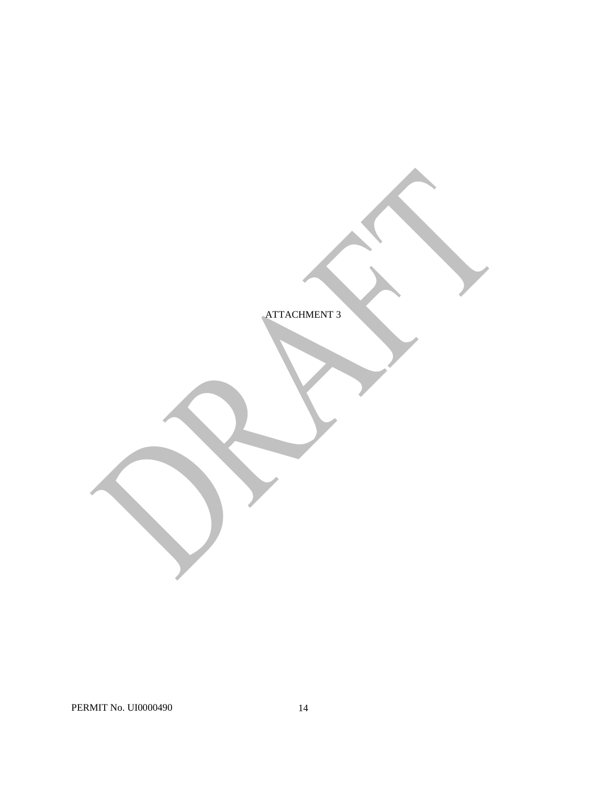ATTACHMENT 3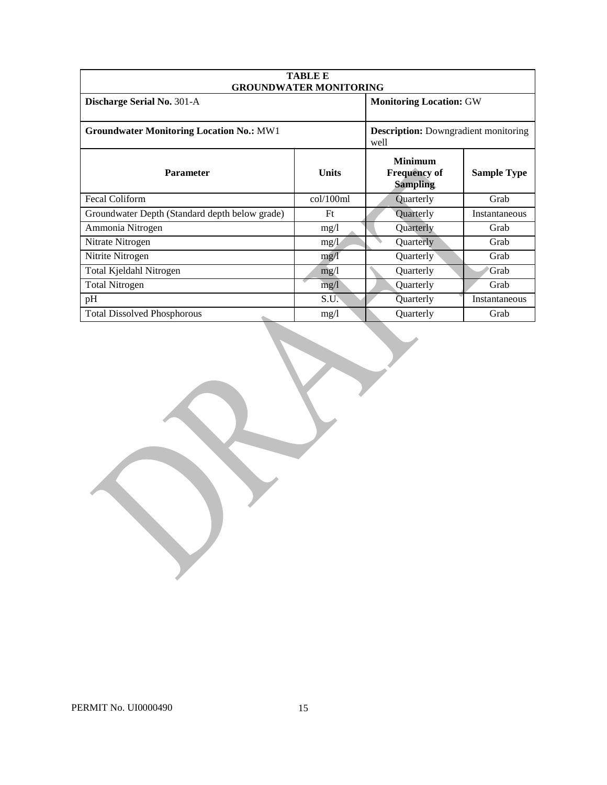| <b>TABLE E</b><br><b>GROUNDWATER MONITORING</b> |                                                     |                                                          |                    |  |
|-------------------------------------------------|-----------------------------------------------------|----------------------------------------------------------|--------------------|--|
| Discharge Serial No. 301-A                      | <b>Monitoring Location: GW</b>                      |                                                          |                    |  |
| <b>Groundwater Monitoring Location No.: MW1</b> | <b>Description:</b> Downgradient monitoring<br>well |                                                          |                    |  |
| <b>Parameter</b>                                | <b>Units</b>                                        | <b>Minimum</b><br><b>Frequency of</b><br><b>Sampling</b> | <b>Sample Type</b> |  |
| <b>Fecal Coliform</b>                           | col/100ml                                           | Quarterly                                                | Grab               |  |
| Groundwater Depth (Standard depth below grade)  | Ft                                                  | Quarterly                                                | Instantaneous      |  |
| Ammonia Nitrogen                                | mg/1                                                | Quarterly                                                | Grab               |  |
| Nitrate Nitrogen                                | mg/1                                                | Quarterly                                                | Grab               |  |
| Nitrite Nitrogen                                | mg/1                                                | Quarterly                                                | Grab               |  |
| Total Kjeldahl Nitrogen                         | mg/1                                                | Quarterly                                                | Grab               |  |
| <b>Total Nitrogen</b>                           | mg/1                                                | Quarterly                                                | Grab               |  |
| pH                                              | S.U.                                                | Quarterly                                                | Instantaneous      |  |
| <b>Total Dissolved Phosphorous</b>              | mg/l                                                | <b>Ouarterly</b>                                         | Grab               |  |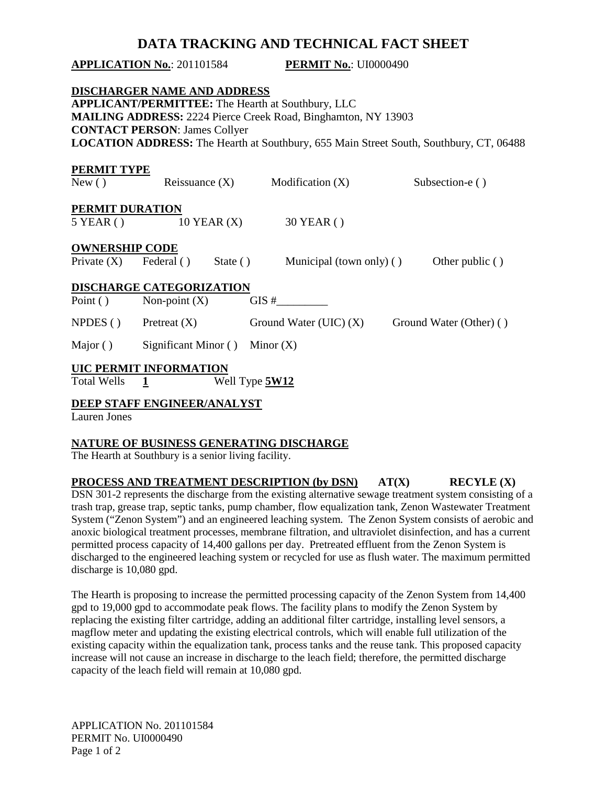# **DATA TRACKING AND TECHNICAL FACT SHEET**

|                                 | <b>APPLICATION No.: 201101584</b>                                          |                 | <b>PERMIT No.: UI0000490</b>                                                                                                                                                                                               |                         |                 |
|---------------------------------|----------------------------------------------------------------------------|-----------------|----------------------------------------------------------------------------------------------------------------------------------------------------------------------------------------------------------------------------|-------------------------|-----------------|
|                                 | <b>DISCHARGER NAME AND ADDRESS</b><br><b>CONTACT PERSON: James Collyer</b> |                 | <b>APPLICANT/PERMITTEE:</b> The Hearth at Southbury, LLC<br>MAILING ADDRESS: 2224 Pierce Creek Road, Binghamton, NY 13903<br><b>LOCATION ADDRESS:</b> The Hearth at Southbury, 655 Main Street South, Southbury, CT, 06488 |                         |                 |
| <b>PERMIT TYPE</b><br>New()     |                                                                            |                 | Reissuance $(X)$ Modification $(X)$                                                                                                                                                                                        | Subsection-e ()         |                 |
| PERMIT DURATION<br>$5$ YEAR ( ) |                                                                            | $10$ YEAR $(X)$ | 30 YEAR ()                                                                                                                                                                                                                 |                         |                 |
| <b>OWNERSHIP CODE</b>           | Private $(X)$ Federal ()                                                   |                 | State () Municipal (town only) ()                                                                                                                                                                                          |                         | Other public () |
| Point $()$                      | <b>DISCHARGE CATEGORIZATION</b><br>Non-point $(X)$                         |                 | $\frac{1}{2}$                                                                                                                                                                                                              |                         |                 |
|                                 | $NPDES()$ Pretreat $(X)$                                                   |                 | Ground Water (UIC) $(X)$                                                                                                                                                                                                   | Ground Water (Other) () |                 |
| Major ()                        | Significant Minor $( )$ Minor $( X )$                                      |                 |                                                                                                                                                                                                                            |                         |                 |
| <b>Total Wells</b>              | <b>UIC PERMIT INFORMATION</b><br>$\frac{1}{2}$                             | Well Type 5W12  |                                                                                                                                                                                                                            |                         |                 |
| . т.                            | <b>DEEP STAFF ENGINEER/ANALYST</b>                                         |                 |                                                                                                                                                                                                                            |                         |                 |

Lauren Jones

# **NATURE OF BUSINESS GENERATING DISCHARGE**

The Hearth at Southbury is a senior living facility.

**PROCESS AND TREATMENT DESCRIPTION (by DSN)** AT(X) RECYLE (X) System ("Zenon System") and an engineered leaching system. The Zenon System consists of aerobic and permitted process capacity of 14,400 gallons per day. Pretreated effluent from the Zenon System is DSN 301-2 represents the discharge from the existing alternative sewage treatment system consisting of a trash trap, grease trap, septic tanks, pump chamber, flow equalization tank, Zenon Wastewater Treatment anoxic biological treatment processes, membrane filtration, and ultraviolet disinfection, and has a current discharged to the engineered leaching system or recycled for use as flush water. The maximum permitted discharge is 10,080 gpd.

 magflow meter and updating the existing electrical controls, which will enable full utilization of the existing capacity within the equalization tank, process tanks and the reuse tank. This proposed capacity increase will not cause an increase in discharge to the leach field; therefore, the permitted discharge The Hearth is proposing to increase the permitted processing capacity of the Zenon System from 14,400 gpd to 19,000 gpd to accommodate peak flows. The facility plans to modify the Zenon System by replacing the existing filter cartridge, adding an additional filter cartridge, installing level sensors, a capacity of the leach field will remain at 10,080 gpd.

 Page 1 of 2 APPLICATION No. 201101584 PERMIT No. UI0000490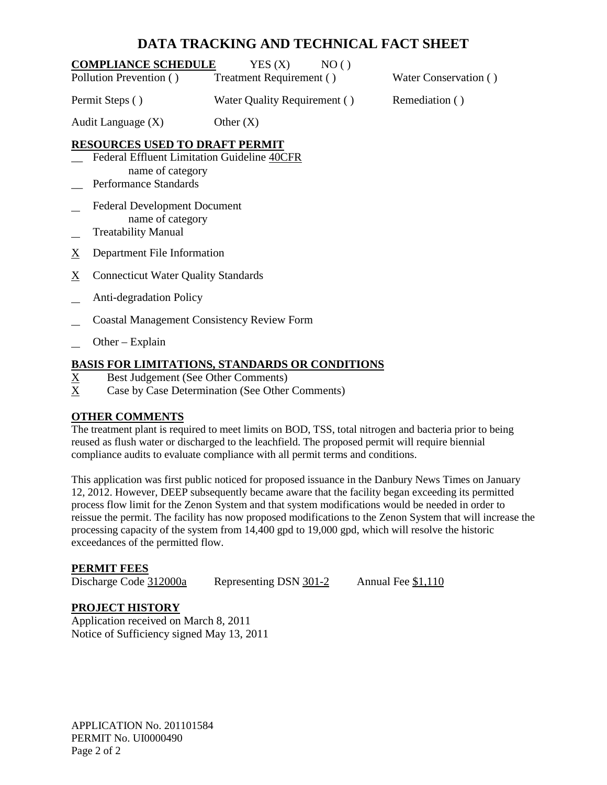# **DATA TRACKING AND TECHNICAL FACT SHEET**

| <b>COMPLIANCE SCHEDULE</b> | YES(X)<br>NO()               |                       |
|----------------------------|------------------------------|-----------------------|
| Pollution Prevention ()    | Treatment Requirement ()     | Water Conservation () |
| Permit Steps ()            | Water Quality Requirement () | Remediation ()        |

Audit Language  $(X)$  Other  $(X)$ 

# **RESOURCES USED TO DRAFT PERMIT**

- \_\_ Federal Effluent Limitation Guideline 40CFR name of category Performance Standards
- $\overline{\phantom{0}}$ Federal Development Document name of category
- l Treatability Manual
- X Department File Information
- $\underline{X}$  Connecticut Water Quality Standards
- $\overline{\phantom{0}}$ Anti-degradation Policy
- l Coastal Management Consistency Review Form
- l Other – Explain

# **BASIS FOR LIMITATIONS, STANDARDS OR CONDITIONS**

- X Best Judgement (See Other Comments)
- $X_{\mathcal{I}}$ Case by Case Determination (See Other Comments)

# **OTHER COMMENTS**

 The treatment plant is required to meet limits on BOD, TSS, total nitrogen and bacteria prior to being compliance audits to evaluate compliance with all permit terms and conditions. reused as flush water or discharged to the leachfield. The proposed permit will require biennial

 This application was first public noticed for proposed issuance in the Danbury News Times on January 12, 2012. However, DEEP subsequently became aware that the facility began exceeding its permitted process flow limit for the Zenon System and that system modifications would be needed in order to reissue the permit. The facility has now proposed modifications to the Zenon System that will increase the processing capacity of the system from 14,400 gpd to 19,000 gpd, which will resolve the historic exceedances of the permitted flow.

# **PERMIT FEES**

Discharge Code 312000a

Representing DSN  $301-2$  Annual Fee \$1,110

# **PROJECT HISTORY**

Application received on March 8, 2011 Notice of Sufficiency signed May 13, 2011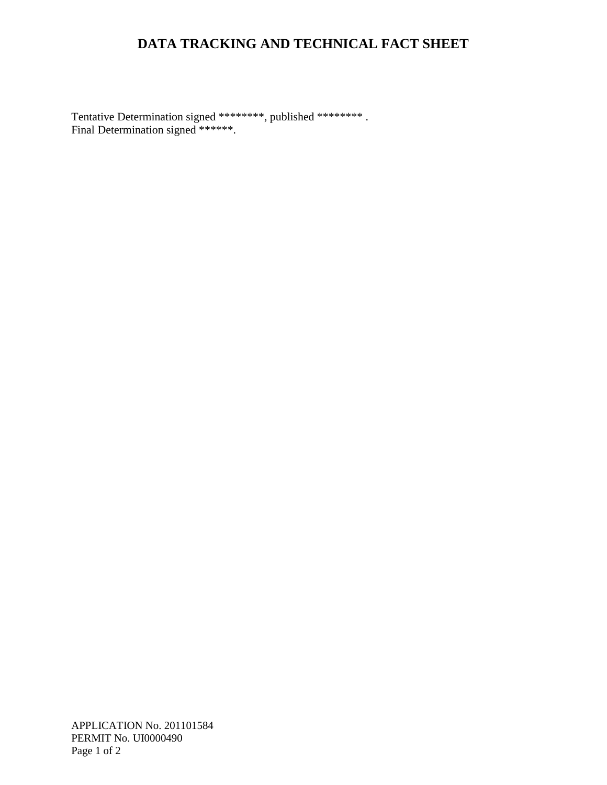# **DATA TRACKING AND TECHNICAL FACT SHEET**

 Tentative Determination signed \*\*\*\*\*\*\*\*, published \*\*\*\*\*\*\*\* . Final Determination signed \*\*\*\*\*\*.

 [Page 1 of 2](#page-1-0) APPLICATION No. 201101584 PERMIT No. UI0000490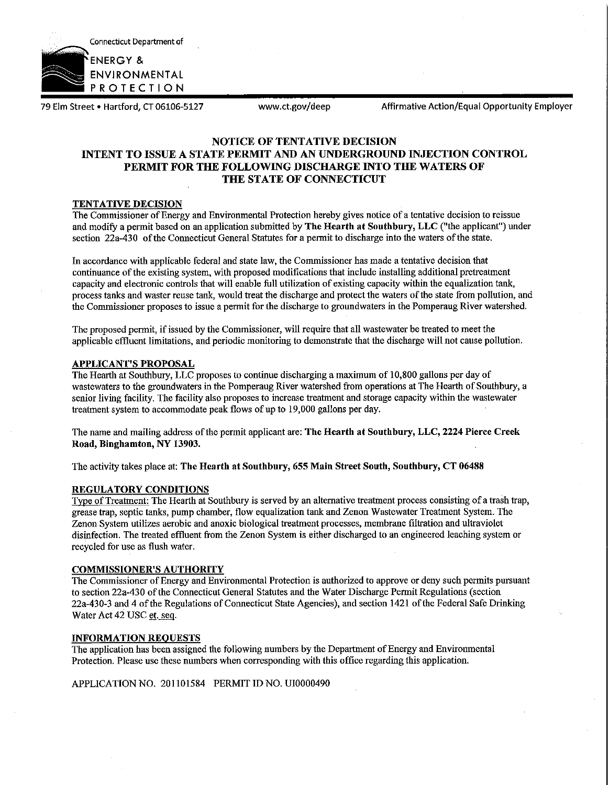

79 Elm Street • Hartford, CT 06106-5127 www.ct.gov/deep Affirmative Action/Equal Opportunity Employer

# **NOTICE OF TENTATIVE DECISION INTENT TO ISSUE A STATE PERMIT AND AN UNDERGROUND INJECTION CONTROL PERMIT FOR THE FOLLOWING DISCHARGE INTO THE WATERS OF THE STATE OF CONNECTICUT**

## **TENTATIVE DECISION**

The Commissioner of Energy and Environmental Protection hereby gives notice of a tentative decision to reissue and modify a permit based on an application submitted by **The Hearth at Southbury, LLC** ("the applicant") under section 22a-430 of the Connecticut General Statutes for a permit to discharge into the waters of the state.

In accordance with applicable federal and state law, the Commissioner has made a tentative decision that continuance ofthe existing system, with proposed modifications that include installing additional pretreatment capacity and electronic controls that will enable full utilization of existing capacity within the equalization tank, process tanks and waster reuse tank, would treat the discharge and protect the waters of the state from pollution, and the Commissioner proposes to issue a permit for the discharge to groundwaters in the Pomperaug River watershed.

The proposed permit, if issued by the Commissioner, will require that all wastewater be treated to meet the applicable effluent limitations, and periodic monitoring to demonstrate that the discharge will not cause pollution.

### **APPLICANT'S PROPOSAL**

The Hearth at Southbury, LLC proposes to continue discharging a maximum of 10,800 gallons per day of wastewaters to the groundwaters in the Pomperaug River watershed from operations at The Hearth of Southbury, a senior living facility. The facility also proposes to increase treatment and storage capacity within the wastewater treatment system to accommodate peak flows of up to 19,000 gallons per day.

The name and mailing address of the permit applicant are: **The Hearth at Southbury, LLC, 2224 Pierce Creek Road, Binghamton, NY 13903.** 

The activity takes place at: **The Hearth at Southbury, 655 Main Street South, Southbury, CT 06488** 

#### **REGULATORY CONDITIONS**

Type of Treatment: The Hearth at Southbury is served by an alternative treatment process consisting of a trash trap, grease trap, septic tanks, pump chamber, flow equalization tank and Zenon Wastewater Treatment System. The Zenon System utilizes aerobic and anoxic biological treatment processes, membrane filtration and ultraviolet disinfection. The treated effluent from the Zenon System is either discharged to an engineered leaching system or recycled for use as flush water.

### **COMMISSIONER'S AUTHORITY**

The Commissioner of Energy and Enviromnental Protection is authorized to approve or deny such permits pursuant to section 22a-430 ofthe Connecticut General Statutes and the Water Discharge Permit Regulations (section 22a-430-3 and 4 ofthe Regulations of Connecticut State Agencies), and section 1421 ofthe Federal Safe Drinking Water Act 42 USC et. seq.

### **INFORMATION REQUESTS**

The application has been assigned the following numbers by the Department of Energy and Environmental Protection. Please use these numbers when corresponding with this office regarding this application.

APPLICATION NO. 201101584 PERMIT ID NO. UI0000490